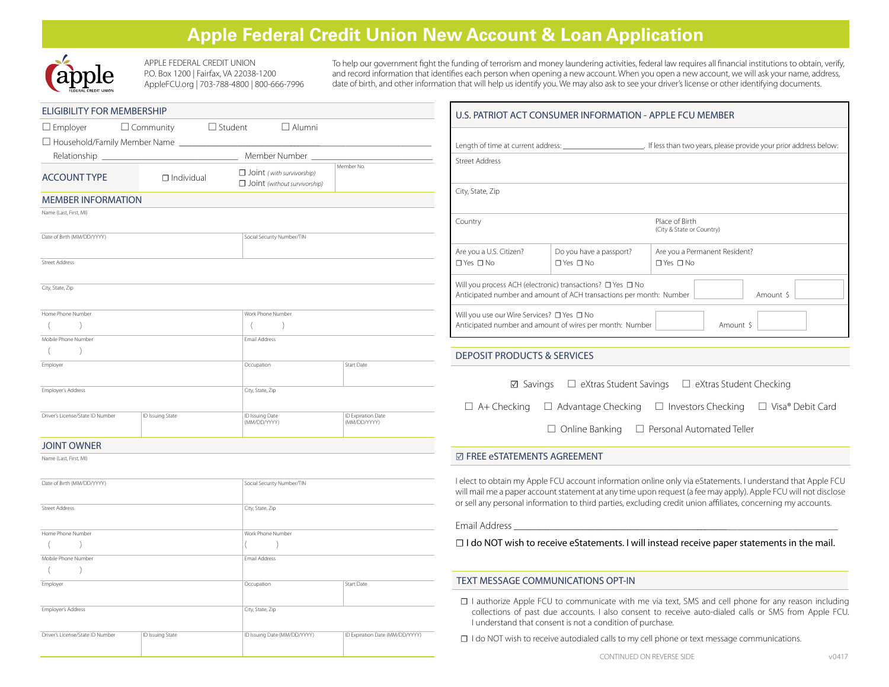# **Apple Federal Credit Union New Account & Loan Application**



 APPLE FEDERAL CREDIT UNION P.O. Box 1200 | Fairfax, VA 22038-1200 AppleFCU.org | 703-788-4800 | 800-666-7996 To help our government fight the funding of terrorism and money laundering activities, federal law requires all financial institutions to obtain, verify, and record information that identifies each person when opening a new account. When you open a new account, we will ask your name, address, date of birth, and other information that will help us identify you. We may also ask to see your driver's license or other identifying documents.

| <b>ELIGIBILITY FOR MEMBERSHIP</b>                               |                                 |                                                                  |                                    |  |  |
|-----------------------------------------------------------------|---------------------------------|------------------------------------------------------------------|------------------------------------|--|--|
| $\square$ Employer<br>□ Household/Family Member Name __________ | $\Box$ Community $\Box$ Student | $\Box$ Alumni                                                    |                                    |  |  |
| Relationship __________                                         |                                 | Member Number                                                    |                                    |  |  |
| <b>ACCOUNT TYPE</b>                                             | $\Box$ Individual               | $\Box$ Joint (with survivorship)<br>Joint (without survivorship) | Member No.                         |  |  |
| <b>MEMBER INFORMATION</b>                                       |                                 |                                                                  |                                    |  |  |
| Name (Last, First, MI)                                          |                                 |                                                                  |                                    |  |  |
|                                                                 |                                 |                                                                  |                                    |  |  |
| Date of Birth (MM/DD/YYYY)                                      |                                 | Social Security Number/TIN                                       |                                    |  |  |
| <b>Street Address</b>                                           |                                 |                                                                  |                                    |  |  |
|                                                                 |                                 |                                                                  |                                    |  |  |
| City, State, Zip                                                |                                 |                                                                  |                                    |  |  |
|                                                                 |                                 |                                                                  |                                    |  |  |
| Home Phone Number                                               |                                 | Work Phone Number                                                |                                    |  |  |
| (<br>$\mathcal{E}$                                              |                                 | $\lambda$<br>(                                                   |                                    |  |  |
| Mobile Phone Number                                             |                                 | Email Address                                                    |                                    |  |  |
| $\lambda$<br>(                                                  |                                 |                                                                  |                                    |  |  |
| Employer                                                        |                                 | Occupation                                                       | <b>Start Date</b>                  |  |  |
| <b>Employer's Address</b>                                       |                                 | City, State, Zip                                                 |                                    |  |  |
| Driver's License/State ID Number                                | ID Issuing State                | ID Issuing Date<br>(MM/DD/YYYY)                                  | ID Expiration Date<br>(MM/DD/YYYY) |  |  |
| <b>JOINT OWNER</b>                                              |                                 |                                                                  |                                    |  |  |
| Name (Last, First, MI)                                          |                                 |                                                                  |                                    |  |  |
|                                                                 |                                 |                                                                  |                                    |  |  |
| Date of Birth (MM/DD/YYYY)                                      |                                 | Social Security Number/TIN                                       |                                    |  |  |
| <b>Street Address</b>                                           |                                 | City, State, Zip                                                 |                                    |  |  |
|                                                                 |                                 |                                                                  |                                    |  |  |
| Home Phone Number                                               |                                 | Work Phone Number                                                |                                    |  |  |
| (<br>$\mathcal{E}$                                              |                                 | $\left($<br>$\mathcal{E}$                                        |                                    |  |  |
| Mobile Phone Number                                             |                                 | Email Address                                                    |                                    |  |  |
| $\left( \right)$<br>(                                           |                                 |                                                                  |                                    |  |  |
| Employer                                                        |                                 | Occupation                                                       | <b>Start Date</b>                  |  |  |
| Employer's Address                                              |                                 | City, State, Zip                                                 |                                    |  |  |
| Driver's License/State ID Number                                | ID Issuing State                | ID Issuing Date (MM/DD/YYYY)                                     | ID Expiration Date (MM/DD/YYYY)    |  |  |

| U.S. PATRIOT ACT CONSUMER INFORMATION - APPLE FCU MEMBER                                                                                                 |                                                 |                                                                    |  |  |
|----------------------------------------------------------------------------------------------------------------------------------------------------------|-------------------------------------------------|--------------------------------------------------------------------|--|--|
| Length of time at current address:                                                                                                                       |                                                 | . If less than two years, please provide your prior address below: |  |  |
| <b>Street Address</b>                                                                                                                                    |                                                 |                                                                    |  |  |
| City, State, Zip                                                                                                                                         |                                                 |                                                                    |  |  |
| Country                                                                                                                                                  |                                                 | Place of Birth<br>(City & State or Country)                        |  |  |
| Are you a U.S. Citizen?<br>$\Box$ Yes $\Box$ No                                                                                                          | Do you have a passport?<br>$\Box$ Yes $\Box$ No | Are you a Permanent Resident?<br>$\Box$ Yes $\Box$ No              |  |  |
| Will you process ACH (electronic) transactions? $\Box$ Yes $\Box$ No<br>Amount \$<br>Anticipated number and amount of ACH transactions per month: Number |                                                 |                                                                    |  |  |
| Will you use our Wire Services? □ Yes □ No<br>Anticipated number and amount of wires per month: Number<br>Amount \$                                      |                                                 |                                                                    |  |  |

#### DEPOSIT PRODUCTS & SERVICES

| ⊠ Savings | $\Box$ eXtras Student Savings | $\Box$ eXtras Student Checking |
|-----------|-------------------------------|--------------------------------|
|           |                               |                                |

 $\Box$  A+ Checking  $\Box$  Advantage Checking  $\Box$  Investors Checking  $\Box$  Visa® Debit Card

 $\Box$  Online Banking  $\Box$  Personal Automated Teller

## **☑** FREE eSTATEMENTS AGREEMENT

I elect to obtain my Apple FCU account information online only via eStatements. I understand that Apple FCU will mail me a paper account statement at any time upon request (a fee may apply). Apple FCU will not disclose or sell any personal information to third parties, excluding credit union affiliates, concerning my accounts.

Email Address \_\_\_\_\_\_\_\_\_\_\_\_\_\_\_\_\_\_\_\_\_\_\_\_\_\_\_\_\_\_\_\_\_\_\_\_\_\_\_\_\_\_\_\_\_\_\_\_\_\_\_\_\_\_\_\_\_\_\_\_\_\_\_\_\_\_\_\_\_\_

**☐** I do NOT wish to receive eStatements. I will instead receive paper statements in the mail.

#### TEXT MESSAGE COMMUNICATIONS OPT-IN

- **☐** I authorize Apple FCU to communicate with me via text, SMS and cell phone for any reason including collections of past due accounts. I also consent to receive auto-dialed calls or SMS from Apple FCU. I understand that consent is not a condition of purchase.
- **□ I do NOT wish to receive autodialed calls to my cell phone or text message communications.**